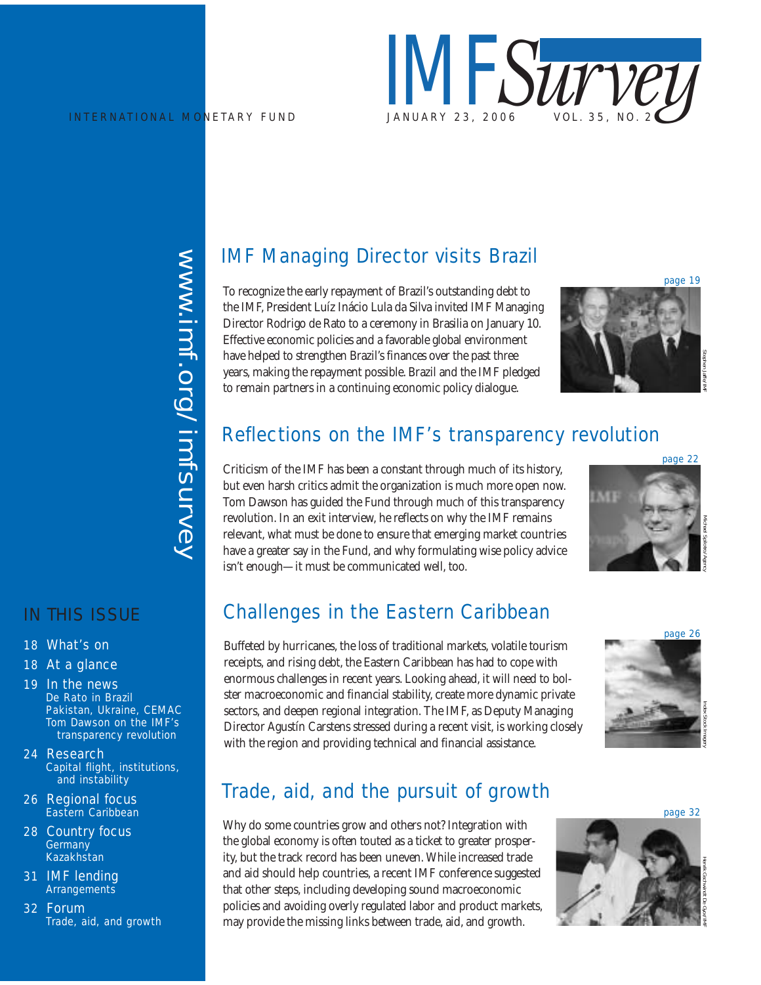

www.imf.org/imfsurvey www.imf.org/imfsurvey

## IN THIS ISSUE

- 18 What's on
- 18 At a glance
- 19 In the news *De Rato in Brazil Pakistan, Ukraine, CEMAC Tom Dawson on the IMF's transparency revolution*
- 24 Research *Capital flight, institutions, and instability*
- 26 Regional focus *Eastern Caribbean*
- 28 Country focus *Germany Kazakhstan*
- 31 IMF lending *Arrangements*
- 32 Forum *Trade, aid, and growth*

# IMF Managing Director visits Brazil

To recognize the early repayment of Brazil's outstanding debt to the IMF, President Luíz Inácio Lula da Silva invited IMF Managing Director Rodrigo de Rato to a ceremony in Brasilia on January 10. Effective economic policies and a favorable global environment have helped to strengthen Brazil's finances over the past three years, making the repayment possible. Brazil and the IMF pledged to remain partners in a continuing economic policy dialogue.



# Reflections on the IMF's transparency revolution

Criticism of the IMF has been a constant through much of its history, but even harsh critics admit the organization is much more open now. Tom Dawson has guided the Fund through much of this transparency revolution. In an exit interview, he reflects on why the IMF remains relevant, what must be done to ensure that emerging market countries have a greater say in the Fund, and why formulating wise policy advice isn't enough—it must be communicated well, too.



# Challenges in the Eastern Caribbean

Buffeted by hurricanes, the loss of traditional markets, volatile tourism receipts, and rising debt, the Eastern Caribbean has had to cope with enormous challenges in recent years. Looking ahead, it will need to bolster macroeconomic and financial stability, create more dynamic private sectors, and deepen regional integration. The IMF, as Deputy Managing Director Agustín Carstens stressed during a recent visit, is working closely with the region and providing technical and financial assistance.



# Trade, aid, and the pursuit of growth

Why do some countries grow and others not? Integration with the global economy is often touted as a ticket to greater prosperity, but the track record has been uneven. While increased trade and aid should help countries, a recent IMF conference suggested that other steps, including developing sound macroeconomic policies and avoiding overly regulated labor and product markets, may provide the missing links between trade, aid, and growth.



page 32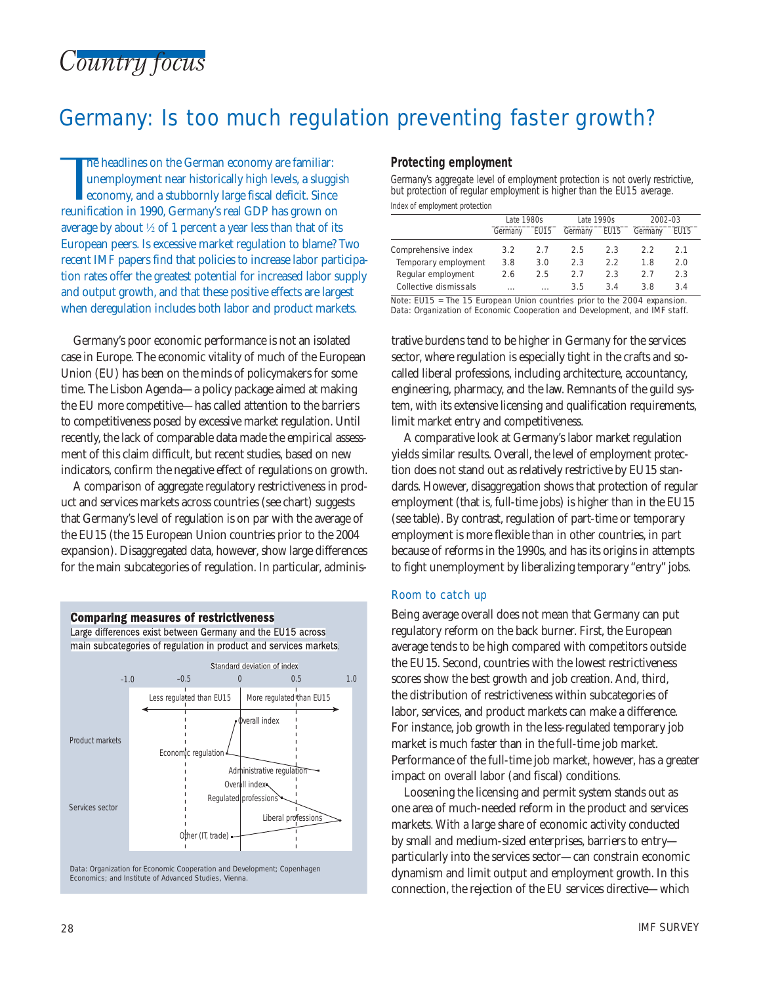# Germany: Is too much regulation preventing faster growth?

The headlines on the German economy are familiar:<br>unemployment near historically high levels, a sluggise<br>conomy, and a stubbornly large fiscal deficit. Since<br>reunification in 1990, Germany's real GDP has grown on he headlines on the German economy are familiar: unemployment near historically high levels, a sluggish economy, and a stubbornly large fiscal deficit. Since average by about  $\frac{1}{2}$  of 1 percent a year less than that of its European peers. Is excessive market regulation to blame? Two recent IMF papers find that policies to increase labor participation rates offer the greatest potential for increased labor supply and output growth, and that these positive effects are largest when deregulation includes both labor and product markets.

Germany's poor economic performance is not an isolated case in Europe. The economic vitality of much of the European Union (EU) has been on the minds of policymakers for some time. The Lisbon Agenda—a policy package aimed at making the EU more competitive—has called attention to the barriers to competitiveness posed by excessive market regulation. Until recently, the lack of comparable data made the empirical assessment of this claim difficult, but recent studies, based on new indicators, confirm the negative effect of regulations on growth.

A comparison of aggregate regulatory restrictiveness in product and services markets across countries (see chart) suggests that Germany's level of regulation is on par with the average of the EU15 (the 15 European Union countries prior to the 2004 expansion). Disaggregated data, however, show large differences for the main subcategories of regulation. In particular, adminis-

**Comparing measures of restrictiveness** 



Data: Organization for Economic Cooperation and Development; Copenhagen Economics; and Institute of Advanced Studies, Vienna.

### **Protecting employment**

Germany's aggregate level of employment protection is not overly restrictive, but protection of regular employment is higher than the EU15 average. Index of employment protection

|                       | Late 1980s |          | Late 1990s |      | 2002-03 |      |
|-----------------------|------------|----------|------------|------|---------|------|
|                       | Germany    | EU15     | Germany    | EU15 | Germany | EU15 |
| Comprehensive index   | 3.2        | 2.7      | 2.5        | 2.3  | 22      | 21   |
| Temporary employment  | 3.8        | 3.0      | 2.3        | 22   | 18      | 2.0  |
| Regular employment    | 2.6        | 2.5      | 27         | 2.3  | 27      | 2.3  |
| Collective dismissals | 1.1.1      | $\cdots$ | 3.5        | 34   | 3 R     | 3.4  |

Note: EU15 = The 15 European Union countries prior to the 2004 expansion. Data: Organization of Economic Cooperation and Development, and IMF staff.

trative burdens tend to be higher in Germany for the services sector, where regulation is especially tight in the crafts and socalled liberal professions, including architecture, accountancy, engineering, pharmacy, and the law. Remnants of the guild system, with its extensive licensing and qualification requirements, limit market entry and competitiveness.

A comparative look at Germany's labor market regulation yields similar results. Overall, the level of employment protection does not stand out as relatively restrictive by EU15 standards. However, disaggregation shows that protection of regular employment (that is, full-time jobs) is higher than in the EU15 (see table). By contrast, regulation of part-time or temporary employment is more flexible than in other countries, in part because of reforms in the 1990s, and has its origins in attempts to fight unemployment by liberalizing temporary "entry" jobs.

### Room to catch up

Being average overall does not mean that Germany can put regulatory reform on the back burner. First, the European average tends to be high compared with competitors outside the EU15. Second, countries with the lowest restrictiveness scores show the best growth and job creation. And, third, the distribution of restrictiveness within subcategories of labor, services, and product markets can make a difference. For instance, job growth in the less-regulated temporary job market is much faster than in the full-time job market. Performance of the full-time job market, however, has a greater impact on overall labor (and fiscal) conditions.

Loosening the licensing and permit system stands out as one area of much-needed reform in the product and services markets. With a large share of economic activity conducted by small and medium-sized enterprises, barriers to entry particularly into the services sector—can constrain economic dynamism and limit output and employment growth. In this connection, the rejection of the EU services directive—which